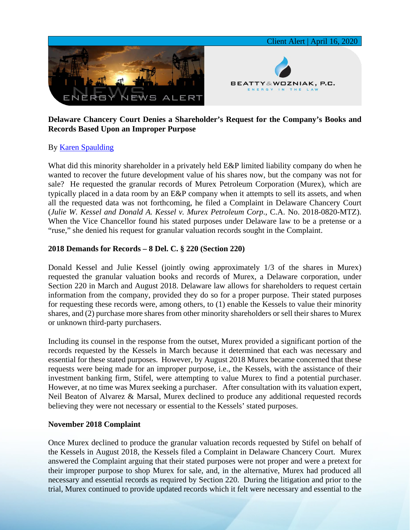

### **Delaware Chancery Court Denies a Shareholder's Request for the Company's Books and Records Based Upon an Improper Purpose**

## By [Karen Spaulding](https://www.bwenergylaw.com/karen-spaulding)

What did this minority shareholder in a privately held E&P limited liability company do when he wanted to recover the future development value of his shares now, but the company was not for sale? He requested the granular records of Murex Petroleum Corporation (Murex), which are typically placed in a data room by an E&P company when it attempts to sell its assets, and when all the requested data was not forthcoming, he filed a Complaint in Delaware Chancery Court (*Julie W. Kessel and Donald A. Kessel v. Murex Petroleum Corp*., C.A. No. 2018-0820-MTZ). When the Vice Chancellor found his stated purposes under Delaware law to be a pretense or a "ruse," she denied his request for granular valuation records sought in the Complaint.

#### **2018 Demands for Records – 8 Del. C. § 220 (Section 220)**

Donald Kessel and Julie Kessel (jointly owing approximately 1/3 of the shares in Murex) requested the granular valuation books and records of Murex, a Delaware corporation, under Section 220 in March and August 2018. Delaware law allows for shareholders to request certain information from the company, provided they do so for a proper purpose. Their stated purposes for requesting these records were, among others, to (1) enable the Kessels to value their minority shares, and (2) purchase more shares from other minority shareholders or sell their shares to Murex or unknown third-party purchasers.

Including its counsel in the response from the outset, Murex provided a significant portion of the records requested by the Kessels in March because it determined that each was necessary and essential for these stated purposes. However, by August 2018 Murex became concerned that these requests were being made for an improper purpose, i.e., the Kessels, with the assistance of their investment banking firm, Stifel, were attempting to value Murex to find a potential purchaser. However, at no time was Murex seeking a purchaser. After consultation with its valuation expert, Neil Beaton of Alvarez & Marsal, Murex declined to produce any additional requested records believing they were not necessary or essential to the Kessels' stated purposes.

#### **November 2018 Complaint**

Once Murex declined to produce the granular valuation records requested by Stifel on behalf of the Kessels in August 2018, the Kessels filed a Complaint in Delaware Chancery Court. Murex answered the Complaint arguing that their stated purposes were not proper and were a pretext for their improper purpose to shop Murex for sale, and, in the alternative, Murex had produced all necessary and essential records as required by Section 220. During the litigation and prior to the trial, Murex continued to provide updated records which it felt were necessary and essential to the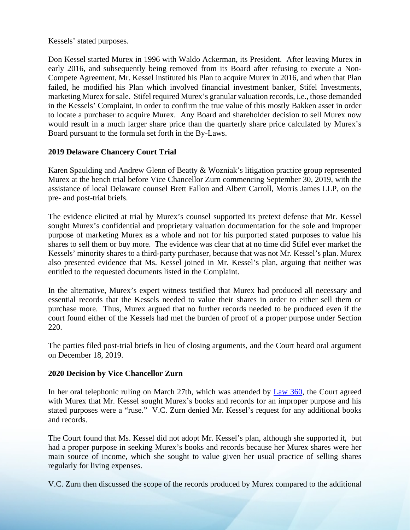Kessels' stated purposes.

Don Kessel started Murex in 1996 with Waldo Ackerman, its President. After leaving Murex in early 2016, and subsequently being removed from its Board after refusing to execute a Non-Compete Agreement, Mr. Kessel instituted his Plan to acquire Murex in 2016, and when that Plan failed, he modified his Plan which involved financial investment banker, Stifel Investments, marketing Murex for sale. Stifel required Murex's granular valuation records, i.e., those demanded in the Kessels' Complaint, in order to confirm the true value of this mostly Bakken asset in order to locate a purchaser to acquire Murex. Any Board and shareholder decision to sell Murex now would result in a much larger share price than the quarterly share price calculated by Murex's Board pursuant to the formula set forth in the By-Laws.

### **2019 Delaware Chancery Court Trial**

Karen Spaulding and Andrew Glenn of Beatty & Wozniak's litigation practice group represented Murex at the bench trial before Vice Chancellor Zurn commencing September 30, 2019, with the assistance of local Delaware counsel Brett Fallon and Albert Carroll, Morris James LLP, on the pre- and post-trial briefs.

The evidence elicited at trial by Murex's counsel supported its pretext defense that Mr. Kessel sought Murex's confidential and proprietary valuation documentation for the sole and improper purpose of marketing Murex as a whole and not for his purported stated purposes to value his shares to sell them or buy more. The evidence was clear that at no time did Stifel ever market the Kessels' minority shares to a third-party purchaser, because that was not Mr. Kessel's plan. Murex also presented evidence that Ms. Kessel joined in Mr. Kessel's plan, arguing that neither was entitled to the requested documents listed in the Complaint.

In the alternative, Murex's expert witness testified that Murex had produced all necessary and essential records that the Kessels needed to value their shares in order to either sell them or purchase more. Thus, Murex argued that no further records needed to be produced even if the court found either of the Kessels had met the burden of proof of a proper purpose under Section 220.

The parties filed post-trial briefs in lieu of closing arguments, and the Court heard oral argument on December 18, 2019.

## **2020 Decision by Vice Chancellor Zurn**

In her oral telephonic ruling on March 27th, which was attended by [Law 360,](https://7786d557-4329-4d99-be6b-ee891e97ad6a.filesusr.com/ugd/368105_1d7d7c65cbea4aff82a5b71ca53d8e15.pdf) the Court agreed with Murex that Mr. Kessel sought Murex's books and records for an improper purpose and his stated purposes were a "ruse." V.C. Zurn denied Mr. Kessel's request for any additional books and records.

The Court found that Ms. Kessel did not adopt Mr. Kessel's plan, although she supported it, but had a proper purpose in seeking Murex's books and records because her Murex shares were her main source of income, which she sought to value given her usual practice of selling shares regularly for living expenses.

V.C. Zurn then discussed the scope of the records produced by Murex compared to the additional